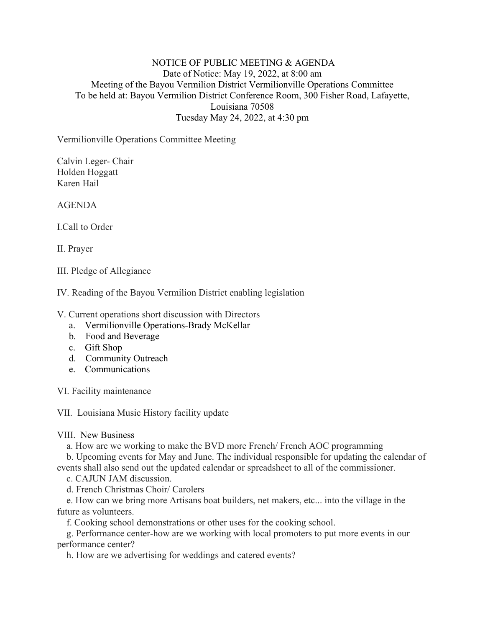## NOTICE OF PUBLIC MEETING & AGENDA Date of Notice: May 19, 2022, at 8:00 am Meeting of the Bayou Vermilion District Vermilionville Operations Committee To be held at: Bayou Vermilion District Conference Room, 300 Fisher Road, Lafayette, Louisiana 70508 Tuesday May 24, 2022, at 4:30 pm

Vermilionville Operations Committee Meeting

Calvin Leger- Chair Holden Hoggatt Karen Hail

AGENDA

I.Call to Order

II. Prayer

III. Pledge of Allegiance

IV. Reading of the Bayou Vermilion District enabling legislation

V. Current operations short discussion with Directors

- a. Vermilionville Operations-Brady McKellar
- b. Food and Beverage
- c. Gift Shop
- d. Community Outreach
- e. Communications

VI. Facility maintenance

VII. Louisiana Music History facility update

VIII. New Business

a. How are we working to make the BVD more French/ French AOC programming

b. Upcoming events for May and June. The individual responsible for updating the calendar of

events shall also send out the updated calendar or spreadsheet to all of the commissioner.

c. CAJUN JAM discussion.

d. French Christmas Choir/ Carolers

e. How can we bring more Artisans boat builders, net makers, etc... into the village in the future as volunteers.

f. Cooking school demonstrations or other uses for the cooking school.

g. Performance center-how are we working with local promoters to put more events in our performance center?

h. How are we advertising for weddings and catered events?